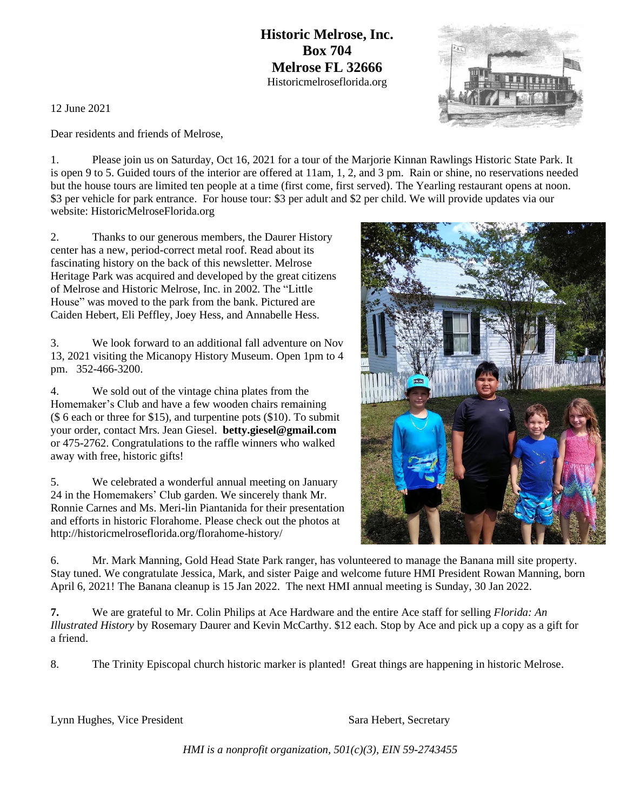**Historic Melrose, Inc. Box 704 Melrose FL 32666** Historicmelroseflorida.org

12 June 2021

Dear residents and friends of Melrose,

1. Please join us on Saturday, Oct 16, 2021 for a tour of the Marjorie Kinnan Rawlings Historic State Park. It is open 9 to 5. Guided tours of the interior are offered at 11am, 1, 2, and 3 pm. Rain or shine, no reservations needed but the house tours are limited ten people at a time (first come, first served). The Yearling restaurant opens at noon. \$3 per vehicle for park entrance. For house tour: \$3 per adult and \$2 per child. We will provide updates via our website: HistoricMelroseFlorida.org

2. Thanks to our generous members, the Daurer History center has a new, period-correct metal roof. Read about its fascinating history on the back of this newsletter. Melrose Heritage Park was acquired and developed by the great citizens of Melrose and Historic Melrose, Inc. in 2002. The "Little House" was moved to the park from the bank. Pictured are Caiden Hebert, Eli Peffley, Joey Hess, and Annabelle Hess.

3. We look forward to an additional fall adventure on Nov 13, 2021 visiting the Micanopy History Museum. Open 1pm to 4 pm. 352-466-3200.

4. We sold out of the vintage china plates from the Homemaker's Club and have a few wooden chairs remaining (\$ 6 each or three for \$15), and turpentine pots (\$10). To submit your order, contact Mrs. Jean Giesel. **betty.giesel@gmail.com** or 475-2762. Congratulations to the raffle winners who walked away with free, historic gifts!

5. We celebrated a wonderful annual meeting on January 24 in the Homemakers' Club garden. We sincerely thank Mr. Ronnie Carnes and Ms. Meri-lin Piantanida for their presentation and efforts in historic Florahome. Please check out the photos at http://historicmelroseflorida.org/florahome-history/

6. Mr. Mark Manning, Gold Head State Park ranger, has volunteered to manage the Banana mill site property. Stay tuned. We congratulate Jessica, Mark, and sister Paige and welcome future HMI President Rowan Manning, born April 6, 2021! The Banana cleanup is 15 Jan 2022. The next HMI annual meeting is Sunday, 30 Jan 2022.

**7.** We are grateful to Mr. Colin Philips at Ace Hardware and the entire Ace staff for selling *Florida: An Illustrated History* by Rosemary Daurer and Kevin McCarthy. \$12 each. Stop by Ace and pick up a copy as a gift for a friend.

8. The Trinity Episcopal church historic marker is planted! Great things are happening in historic Melrose.

Lynn Hughes, Vice President Sara Hebert, Secretary

*HMI is a nonprofit organization, 501(c)(3), EIN 59-2743455*